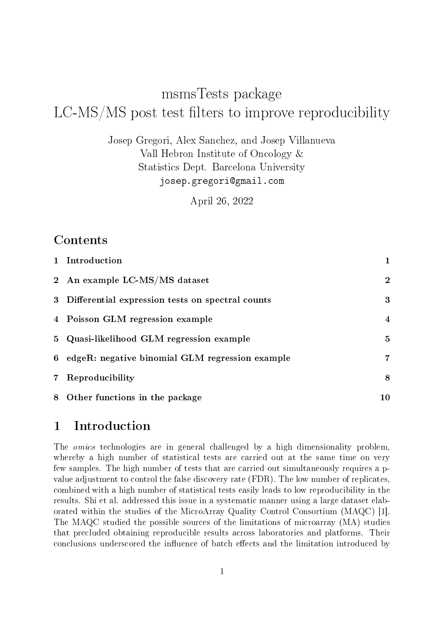# msmsTests package  $LC-MS/MS$  post test filters to improve reproducibility

Josep Gregori, Alex Sanchez, and Josep Villanueva Vall Hebron Institute of Oncology & Statistics Dept. Barcelona University josep.gregori@gmail.com

April 26, 2022

#### Contents

|             | 1 Introduction                                    | $\mathbf 1$      |
|-------------|---------------------------------------------------|------------------|
|             | 2 An example LC-MS/MS dataset                     | $\boldsymbol{2}$ |
| 3           | Differential expression tests on spectral counts  | 3                |
|             | 4 Poisson GLM regression example                  | 4                |
|             | 5 Quasi-likelihood GLM regression example         | 5                |
|             | 6 edgeR: negative binomial GLM regression example | 7                |
| $7^{\circ}$ | Reproducibility                                   | 8                |
|             | 8 Other functions in the package                  | 10               |

#### 1 Introduction

The *omics* technologies are in general challenged by a high dimensionality problem, whereby a high number of statistical tests are carried out at the same time on very few samples. The high number of tests that are carried out simultaneously requires a pvalue adjustment to control the false discovery rate (FDR). The low number of replicates, combined with a high number of statistical tests easily leads to low reproducibility in the results. Shi et al. addressed this issue in a systematic manner using a large dataset elaborated within the studies of the MicroArray Quality Control Consortium (MAQC) [1]. The MAQC studied the possible sources of the limitations of microarray (MA) studies that precluded obtaining reproducible results across laboratories and platforms. Their conclusions underscored the influence of batch effects and the limitation introduced by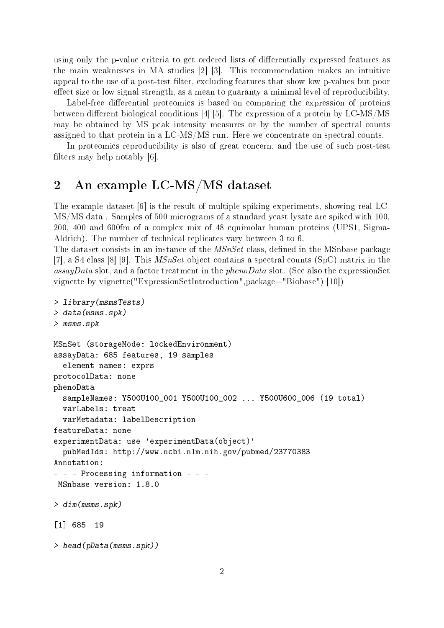using only the p-value criteria to get ordered lists of differentially expressed features as the main weaknesses in MA studies [2] [3]. This recommendation makes an intuitive appeal to the use of a post-test filter, excluding features that show low p-values but poor effect size or low signal strength, as a mean to guaranty a minimal level of reproducibility.

Label-free differential proteomics is based on comparing the expression of proteins between different biological conditions  $[4]$  [5]. The expression of a protein by LC-MS/MS may be obtained by MS peak intensity measures or by the number of spectral counts assigned to that protein in a LC-MS/MS run. Here we concentrate on spectral counts.

In proteomics reproducibility is also of great concern, and the use of such post-test filters may help notably  $[6]$ .

# 2 An example LC-MS/MS dataset

The example dataset [6] is the result of multiple spiking experiments, showing real LC-MS/MS data . Samples of 500 micrograms of a standard yeast lysate are spiked with 100, 200, 400 and 600fm of a complex mix of 48 equimolar human proteins (UPS1, Sigma-Aldrich). The number of technical replicates vary between 3 to 6.

The dataset consists in an instance of the  $MSnSet$  class, defined in the MSnbase package [7], a S4 class [8] [9]. This *MSnSet* object contains a spectral counts (SpC) matrix in the assayData slot, and a factor treatment in the  $phenoData$  slot. (See also the expressionSet vignette by vignette("ExpressionSetIntroduction",package="Biobase") [10])

```
> library(msmsTests)
> data(msms.spk)
> msms.spk
MSnSet (storageMode: lockedEnvironment)
assayData: 685 features, 19 samples
  element names: exprs
protocolData: none
phenoData
  sampleNames: Y500U100_001 Y500U100_002 ... Y500U600_006 (19 total)
  varLabels: treat
  varMetadata: labelDescription
featureData: none
experimentData: use 'experimentData(object)'
  pubMedIds: http://www.ncbi.nlm.nih.gov/pubmed/23770383
Annotation:
- - - Processing information - - -
MSnbase version: 1.8.0
> dim(msms.spk)
[1] 685 19
> head(pData(msms.spk))
```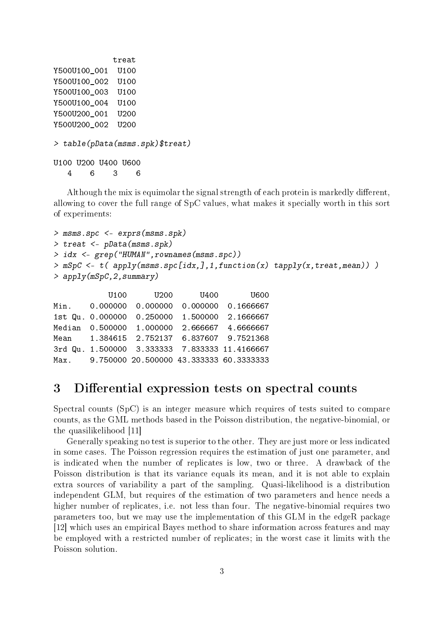treat Y500U100\_001 U100 Y500U100\_002 U100 Y500U100\_003 U100 Y500U100\_004\_U100 Y500U200\_001 U200 Y500U200\_002 U200 > table(pData(msms.spk)\$treat) U100 U200 U400 U600 4 6 3 6

Although the mix is equimolar the signal strength of each protein is markedly different. allowing to cover the full range of SpC values, what makes it specially worth in this sort of experiments:

```
> msms.spc <- exprs(msms.spk)
> treat <- pData(msms.spk)
> idx <- grep("HUMAN",rownames(msms.spc))
> mSpC <- t( apply(msms.spc[idx,],1,function(x) tapply(x,treat,mean)) )
> apply(mSpC,2,summary)
           U100 U200 U400 U600
Min.  0.000000  0.000000  0.000000  0.1666667
```
1st Qu. 0.000000 0.250000 1.500000 2.1666667 Median 0.500000 1.000000 2.666667 4.6666667 Mean 1.384615 2.752137 6.837607 9.7521368 3rd Qu. 1.500000 3.333333 7.833333 11.4166667 Max. 9.750000 20.500000 43.333333 60.3333333

#### 3 Differential expression tests on spectral counts

Spectral counts (SpC) is an integer measure which requires of tests suited to compare counts, as the GML methods based in the Poisson distribution, the negative-binomial, or the quasilikelihood [11]

Generally speaking no test is superior to the other. They are just more or less indicated in some cases. The Poisson regression requires the estimation of just one parameter, and is indicated when the number of replicates is low, two or three. A drawback of the Poisson distribution is that its variance equals its mean, and it is not able to explain extra sources of variability a part of the sampling. Quasi-likelihood is a distribution independent GLM, but requires of the estimation of two parameters and hence needs a higher number of replicates, i.e. not less than four. The negative-binomial requires two parameters too, but we may use the implementation of this GLM in the edgeR package [12] which uses an empirical Bayes method to share information across features and may be employed with a restricted number of replicates; in the worst case it limits with the Poisson solution.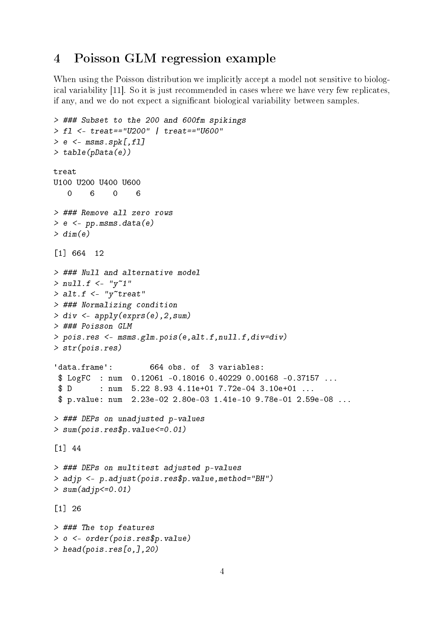# 4 Poisson GLM regression example

When using the Poisson distribution we implicitly accept a model not sensitive to biological variability [11]. So it is just recommended in cases where we have very few replicates, if any, and we do not expect a signicant biological variability between samples.

```
> ### Subset to the 200 and 600fm spikings
> fl <- treat=="U200" | treat=="U600"
> e < - msms.spk[,fl]
> table(pData(e))
treat
U100 U200 U400 U600
   0 6 0 6
> ### Remove all zero rows
> e <- pp.msms.data(e)
> dim(e)[1] 664 12
> ### Null and alternative model
> null.f < - "y"1"
> alt.f \leq "y"treat"
> ### Normalizing condition
> div <- apply(exprs(e),2,sum)
> ### Poisson GLM
> pois.res <- msms.glm.pois(e,alt.f,null.f,div=div)
> str(pois.res)
'data.frame': 664 obs. of 3 variables:
$ LogFC : num 0.12061 -0.18016 0.40229 0.00168 -0.37157 ...
$ D : num 5.22 8.93 4.11e+01 7.72e-04 3.10e+01 ...
$ p.value: num 2.23e-02 2.80e-03 1.41e-10 9.78e-01 2.59e-08 ...
> ### DEPs on unadjusted p-values
> sum(pois.res$p.value<=0.01)
[1] 44
> ### DEPs on multitest adjusted p-values
> adjp <- p.adjust(pois.res$p.value,method="BH")
> sum(adjp<=0.01)[1] 26
> ### The top features
> o <- order(pois.res$p.value)
> head(pois.res[o,],20)
```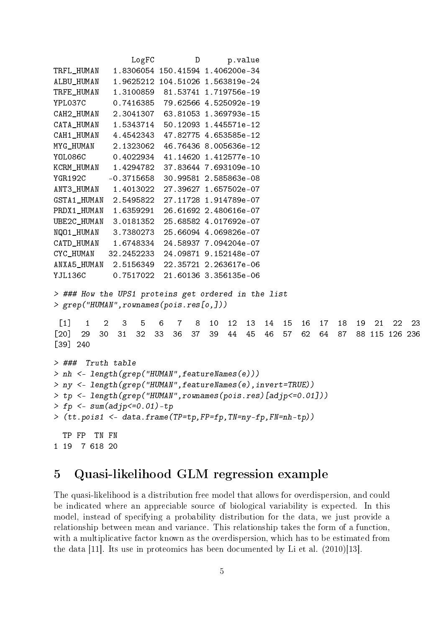```
LogFC D p.value
TRFL_HUMAN 1.8306054 150.41594 1.406200e-34
ALBU_HUMAN 1.9625212 104.51026 1.563819e-24
TRFE_HUMAN 1.3100859 81.53741 1.719756e-19
YPL037C 0.7416385 79.62566 4.525092e-19
CAH2_HUMAN 2.3041307 63.81053 1.369793e-15
CATA_HUMAN 1.5343714 50.12093 1.445571e-12
CAH1 HUMAN 4.4542343 47.82775 4.653585e-12
MYG_HUMAN 2.1323062 46.76436 8.005636e-12
YOL086C 0.4022934 41.14620 1.412577e-10
KCRM_HUMAN 1.4294782 37.83644 7.693109e-10
YGR192C -0.3715658 30.99581 2.585863e-08
ANT3_HUMAN 1.4013022 27.39627 1.657502e-07
GSTA1_HUMAN 2.5495822 27.11728 1.914789e-07
PRDX1 HUMAN 1.6359291 26.61692 2.480616e-07
UBE2C_HUMAN 3.0181352 25.68582 4.017692e-07
NQO1_HUMAN 3.7380273 25.66094 4.069826e-07
CATD_HUMAN 1.6748334 24.58937 7.094204e-07
CYC_HUMAN 32.2452233 24.09871 9.152148e-07
ANXA5_HUMAN 2.5156349 22.35721 2.263617e-06
YJL136C 0.7517022 21.60136 3.356135e-06
> ### How the UPS1 proteins get ordered in the list
> grep("HUMAN",rownames(pois.res[o,]))
 [1] 1 2 3 5 6 7 8 10 12 13 14 15 16 17 18 19 21 22 23
[20] 29 30 31 32 33 36 37 39 44 45 46 57 62 64 87 88 115 126 236
[39] 240
> ### Truth table
> nh <- length(grep("HUMAN",featureNames(e)))
> ny <- length(grep("HUMAN",featureNames(e),invert=TRUE))
> tp <- length(grep("HUMAN",rownames(pois.res)[adjp<=0.01]))
> fp <- sum(adjp<=0.01)-tp
> (tt.pois1 <- data.frame(TP=tp,FP=fp,TN=ny-fp,FN=nh-tp))
 TP FP TN FN
1 19 7 618 20
```
# 5 Quasi-likelihood GLM regression example

The quasi-likelihood is a distribution free model that allows for overdispersion, and could be indicated where an appreciable source of biological variability is expected. In this model, instead of specifying a probability distribution for the data, we just provide a relationship between mean and variance. This relationship takes the form of a function, with a multiplicative factor known as the overdispersion, which has to be estimated from the data [11]. Its use in proteomics has been documented by Li et al. (2010)[13].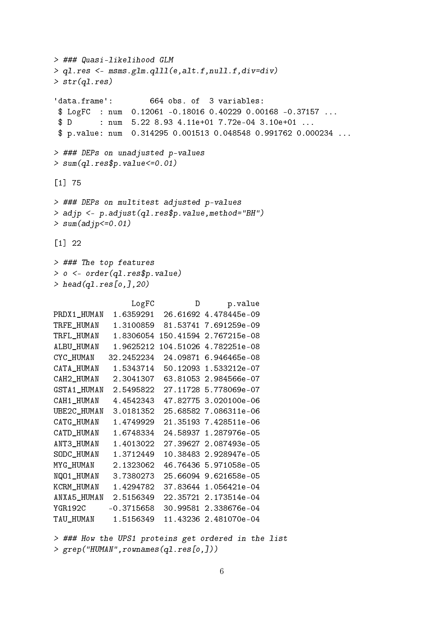```
> ### Quasi-likelihood GLM
> ql.res <- msms.glm.qlll(e,alt.f,null.f,div=div)
> str(ql.res)
'data.frame': 664 obs. of 3 variables:
 $ LogFC : num 0.12061 -0.18016 0.40229 0.00168 -0.37157 ...
 $ D : num 5.22 8.93 4.11e+01 7.72e-04 3.10e+01 ...
 $ p.value: num 0.314295 0.001513 0.048548 0.991762 0.000234 ...
> ### DEPs on unadjusted p-values
> sum(q1.resfp.value<=0.01)[1] 75
> ### DEPs on multitest adjusted p-values
> adjp <- p.adjust(ql.res$p.value,method="BH")
> sum(adjp<=0.01)[1] 22
> ### The top features
> o <- order(ql.res$p.value)
> head(ql.res[o,],20)
                LogFC D p.value
PRDX1_HUMAN 1.6359291 26.61692 4.478445e-09
TRFE_HUMAN 1.3100859 81.53741 7.691259e-09
TRFL_HUMAN 1.8306054 150.41594 2.767215e-08
ALBU_HUMAN 1.9625212 104.51026 4.782251e-08
CYC_HUMAN 32.2452234 24.09871 6.946465e-08
CATA_HUMAN 1.5343714 50.12093 1.533212e-07
CAH2_HUMAN 2.3041307 63.81053 2.984566e-07
GSTA1_HUMAN 2.5495822 27.11728 5.778069e-07
CAH1_HUMAN 4.4542343 47.82775 3.020100e-06
UBE2C_HUMAN 3.0181352 25.68582 7.086311e-06
CATG_HUMAN 1.4749929 21.35193 7.428511e-06
CATD_HUMAN 1.6748334 24.58937 1.287976e-05
ANT3_HUMAN 1.4013022 27.39627 2.087493e-05
SODC_HUMAN 1.3712449 10.38483 2.928947e-05
MYG_HUMAN 2.1323062 46.76436 5.971058e-05
NQO1_HUMAN 3.7380273 25.66094 9.621658e-05
KCRM HUMAN 1.4294782 37.83644 1.056421e-04
ANXA5_HUMAN 2.5156349 22.35721 2.173514e-04
YGR192C -0.3715658 30.99581 2.338676e-04
TAU_HUMAN 1.5156349 11.43236 2.481070e-04
```
> ### How the UPS1 proteins get ordered in the list > grep("HUMAN",rownames(ql.res[o,]))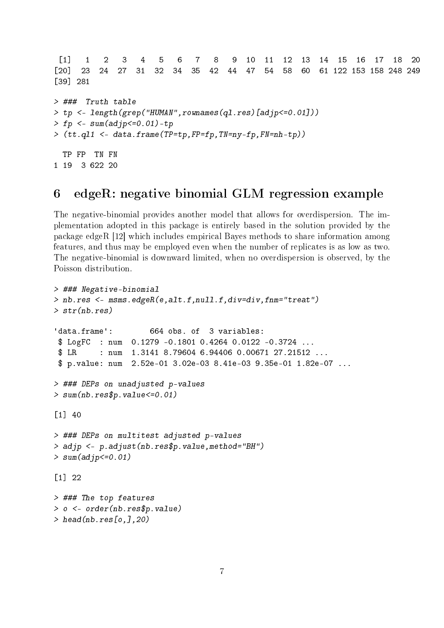[1] 1 2 3 4 5 6 7 8 9 10 11 12 13 14 15 16 17 18 20 [20] 23 24 27 31 32 34 35 42 44 47 54 58 60 61 122 153 158 248 249 [39] 281 > ### Truth table > tp <- length(grep("HUMAN",rownames(ql.res)[adjp<=0.01]))  $>$  fp <- sum(adjp<=0.01)-tp > (tt.ql1 <- data.frame(TP=tp,FP=fp,TN=ny-fp,FN=nh-tp)) TP FP TN FN 1 19 3 622 20

## 6 edgeR: negative binomial GLM regression example

The negative-binomial provides another model that allows for overdispersion. The implementation adopted in this package is entirely based in the solution provided by the package edgeR [12] which includes empirical Bayes methods to share information among features, and thus may be employed even when the number of replicates is as low as two. The negative-binomial is downward limited, when no overdispersion is observed, by the Poisson distribution.

```
> ### Negative-binomial
> nb.res <- msms.edgeR(e,alt.f,null.f,div=div,fnm="treat")
\gt str(nb.res)
'data.frame': 664 obs. of 3 variables:
$ LogFC : num 0.1279 -0.1801 0.4264 0.0122 -0.3724 ...
$ LR : num 1.3141 8.79604 6.94406 0.00671 27.21512 ...
$ p.value: num 2.52e-01 3.02e-03 8.41e-03 9.35e-01 1.82e-07 ...
> ### DEPs on unadjusted p-values
> sum(nb.res$p.value<=0.01)
[1] 40
> ### DEPs on multitest adjusted p-values
> adjp <- p.adjust(nb.res$p.value,method="BH")
> sum(adjp<=0.01)[1] 22
> ### The top features
> o <- order(nb.res$p.value)
> head(nb.res[o,],20)
```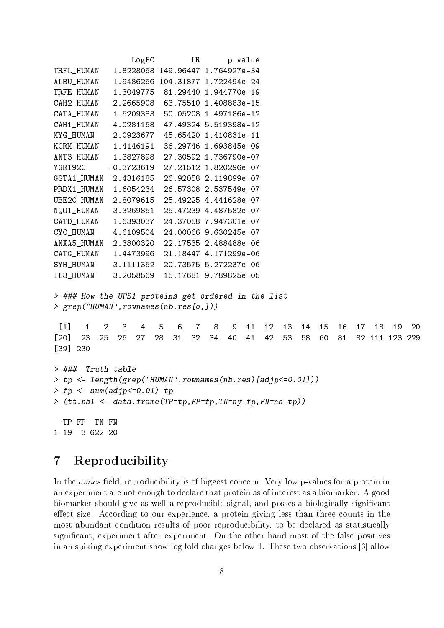```
LogFC LR p.value
TRFL_HUMAN 1.8228068 149.96447 1.764927e-34
ALBU_HUMAN 1.9486266 104.31877 1.722494e-24
TRFE_HUMAN 1.3049775 81.29440 1.944770e-19
CAH2_HUMAN 2.2665908 63.75510 1.408883e-15
CATA_HUMAN 1.5209383 50.05208 1.497186e-12
CAH1_HUMAN 4.0281168 47.49324 5.519398e-12
MYG_HUMAN 2.0923677 45.65420 1.410831e-11
KCRM_HUMAN 1.4146191 36.29746 1.693845e-09
ANT3_HUMAN 1.3827898 27.30592 1.736790e-07
YGR192C -0.3723619 27.21512 1.820296e-07
GSTA1_HUMAN 2.4316185 26.92058 2.119899e-07
PRDX1_HUMAN 1.6054234 26.57308 2.537549e-07
UBE2C_HUMAN 2.8079615 25.49225 4.441628e-07
NQO1_HUMAN 3.3269851 25.47239 4.487582e-07
CATD_HUMAN 1.6393037 24.37058 7.947301e-07
CYC_HUMAN 4.6109504 24.00066 9.630245e-07
ANXA5_HUMAN 2.3800320 22.17535 2.488488e-06
CATG_HUMAN 1.4473996 21.18447 4.171299e-06
SYH_HUMAN 3.1111352 20.73575 5.272237e-06
IL8_HUMAN 3.2058569 15.17681 9.789825e-05
> ### How the UPS1 proteins get ordered in the list
> grep("HUMAN",rownames(nb.res[o,]))
 [1] 1 2 3 4 5 6 7 8 9 11 12 13 14 15 16 17 18 19 20
[20] 23 25 26 27 28 31 32 34 40 41 42 53 58 60 81 82 111 123 229
[39] 230
> ### Truth table
> tp <- length(grep("HUMAN",rownames(nb.res)[adjp<=0.01]))
> fp <- sum(adjp <= 0.01) - tp
> (tt.nb1 <- data.frame(TP=tp,FP=fp,TN=ny-fp,FN=nh-tp))
 TP FP TN FN
1 19 3 622 20
```
# 7 Reproducibility

In the *omics* field, reproducibility is of biggest concern. Very low p-values for a protein in an experiment are not enough to declare that protein as of interest as a biomarker. A good biomarker should give as well a reproducible signal, and posses a biologically signicant effect size. According to our experience, a protein giving less than three counts in the most abundant condition results of poor reproducibility, to be declared as statistically significant, experiment after experiment. On the other hand most of the false positives in an spiking experiment show log fold changes below 1. These two observations [6] allow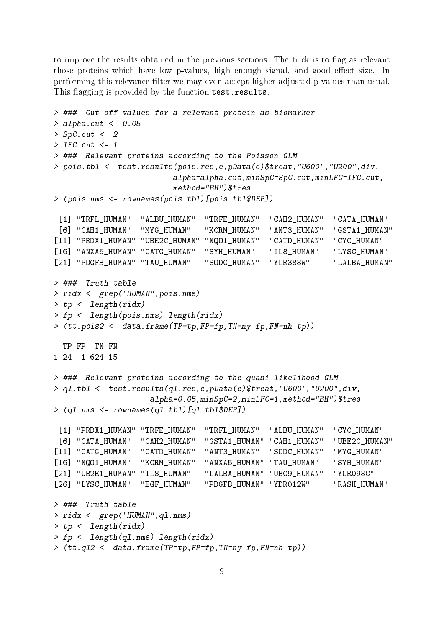to improve the results obtained in the previous sections. The trick is to flag as relevant those proteins which have low p-values, high enough signal, and good effect size. In performing this relevance filter we may even accept higher adjusted p-values than usual. This flagging is provided by the function test.results.

```
> ### Cut-off values for a relevant protein as biomarker
> alpha.cut <- 0.05
> SpC.cut < -2> lFC.cut <- 1
> ### Relevant proteins according to the Poisson GLM
> pois.tbl <- test.results(pois.res,e,pData(e)$treat,"U600","U200",div,
                         alpha=alpha.cut,minSpC=SpC.cut,minLFC=lFC.cut,
                         method="BH")$tres
> (pois.nms <- rownames(pois.tbl)[pois.tbl$DEP])
 [1] "TRFL HUMAN" "ALBU HUMAN" "TRFE HUMAN" "CAH2 HUMAN" "CATA HUMAN"
 [6] "CAH1_HUMAN" "MYG_HUMAN" "KCRM_HUMAN" "ANT3_HUMAN" "GSTA1_HUMAN"
[11] "PRDX1_HUMAN" "UBE2C_HUMAN" "NQO1_HUMAN" "CATD_HUMAN" "CYC_HUMAN"
[16] "ANXA5_HUMAN" "CATG_HUMAN" "SYH_HUMAN" "IL8_HUMAN" "LYSC_HUMAN"
[21] "PDGFB_HUMAN" "TAU_HUMAN" "SODC_HUMAN" "YLR388W" "LALBA_HUMAN"
> ### Truth table
> ridx <- grep("HUMAN",pois.nms)
> tp <- length(ridx)
> fp <- length(pois.nms)-length(ridx)
> (tt.pois2 <- data.frame(TP=tp,FP=fp,TN=ny-fp,FN=nh-tp))
 TP FP TN FN
1 24 1 624 15
> ### Relevant proteins according to the quasi-likelihood GLM
> ql.tbl <- test.results(ql.res,e,pData(e)$treat,"U600","U200",div,
                    alpha=0.05,minSpC=2,minLFC=1,method="BH")$tres
> (ql.nms <- rownames(ql.tbl)[ql.tbl$DEP])
 [1] "PRDX1_HUMAN" "TRFE_HUMAN" "TRFL_HUMAN" "ALBU_HUMAN" "CYC_HUMAN"
 [6] "CATA_HUMAN" "CAH2_HUMAN" "GSTA1_HUMAN" "CAH1_HUMAN" "UBE2C_HUMAN"
[11] "CATG_HUMAN" "CATD_HUMAN" "ANT3_HUMAN" "SODC_HUMAN" "MYG_HUMAN"
[16] "NQO1_HUMAN" "KCRM_HUMAN" "ANXA5_HUMAN" "TAU_HUMAN" "SYH_HUMAN"
[21] "UB2E1_HUMAN" "IL8_HUMAN" "LALBA_HUMAN" "UBC9_HUMAN" "YOR098C"
[26] "LYSC_HUMAN" "EGF_HUMAN" "PDGFB_HUMAN" "YDR012W" "RASH_HUMAN"
> ### Truth table
> ridx <- grep("HUMAN",ql.nms)
> tp <- length(ridx)
> fp <- length(ql.nms)-length(ridx)
> (tt.ql2 <- data.frame(TP=tp,FP=fp,TN=ny-fp,FN=nh-tp))
```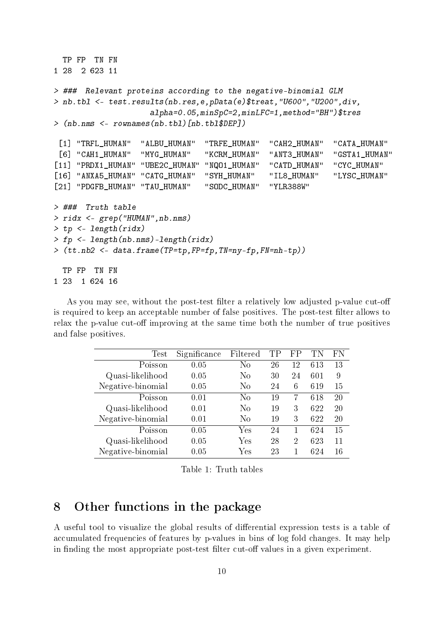```
TP FP TN FN
1 28 2 623 11
> ### Relevant proteins according to the negative-binomial GLM
> nb.tbl <- test.results(nb.res,e,pData(e)$treat,"U600","U200",div,
                    alpha=0.05,minSpC=2,minLFC=1,method="BH")$tres
> (nb.nms <- rownames(nb.tbl)[nb.tbl$DEP])
 [1] "TRFL_HUMAN" "ALBU_HUMAN" "TRFE_HUMAN" "CAH2_HUMAN" "CATA_HUMAN"
 [6] "CAH1_HUMAN" "MYG_HUMAN" "KCRM_HUMAN" "ANT3_HUMAN" "GSTA1_HUMAN"
[11] "PRDX1_HUMAN" "UBE2C_HUMAN" "NQO1_HUMAN" "CATD_HUMAN" "CYC_HUMAN"
[16] "ANXA5_HUMAN" "CATG_HUMAN" "SYH_HUMAN" "IL8_HUMAN" "LYSC_HUMAN"
[21] "PDGFB_HUMAN" "TAU_HUMAN" "SODC_HUMAN" "YLR388W"
> ### Truth table
> ridx <- grep("HUMAN",nb.nms)
> tp <- length(ridx)
> fp <- length(nb.nms)-length(ridx)
> (tt.nb2 <- data.frame(TP=tp,FP=fp,TN=ny-fp,FN=nh-tp))
 TP FP TN FN
1 23 1 624 16
```
As you may see, without the post-test filter a relatively low adjusted p-value cut-off is required to keep an acceptable number of false positives. The post-test filter allows to relax the p-value cut-off improving at the same time both the number of true positives and false positives.

| Test              | Significance | Filtered       | TP | FP             |     | FN |
|-------------------|--------------|----------------|----|----------------|-----|----|
| Poisson           | 0.05         | $\rm No$       | 26 | 12             | 613 | 13 |
| Quasi-likelihood  | 0.05         | $\rm No$       | 30 | 24             | 601 | 9  |
| Negative-binomial | 0.05         | N <sub>0</sub> | 24 | 6              | 619 | 15 |
| Poisson           | 0.01         | N <sub>0</sub> | 19 | 7              | 618 | 20 |
| Quasi-likelihood  | 0.01         | N <sub>0</sub> | 19 | 3              | 622 | 20 |
| Negative-binomial | 0.01         | $\rm No$       | 19 | 3              | 622 | 20 |
| Poisson           | 0.05         | Yes            | 24 | 1              | 624 | 15 |
| Quasi-likelihood  | 0.05         | Yes            | 28 | $\overline{2}$ | 623 | 11 |
| Negative-binomial | 0.05         | Yes            | 23 | 1              | 624 | 16 |

Table 1: Truth tables

#### 8 Other functions in the package

A useful tool to visualize the global results of differential expression tests is a table of accumulated frequencies of features by p-values in bins of log fold changes. It may help in finding the most appropriate post-test filter cut-off values in a given experiment.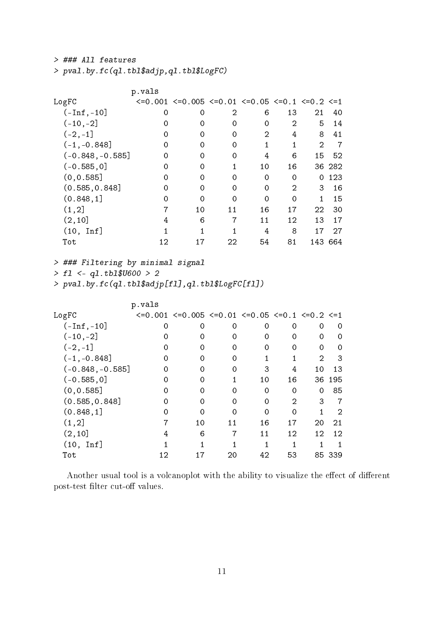> ### All features

> pval.by.fc(ql.tbl\$adjp,ql.tbl\$LogFC)

|                    | p.vals |                                                                                  |    |                |          |                |        |
|--------------------|--------|----------------------------------------------------------------------------------|----|----------------|----------|----------------|--------|
| LogFC              |        | $\leq 0.001$ $\leq 0.005$ $\leq 0.01$ $\leq 0.05$ $\leq 0.1$ $\leq 0.2$ $\leq 1$ |    |                |          |                |        |
| $(-Inf, -10]$      | 0      | 0                                                                                | 2  | 6              | 13       | 21             | 40     |
| $(-10, -2]$        | 0      | 0                                                                                | 0  | 0              | 2        | 5              | 14     |
| $(-2, -1]$         | 0      | 0                                                                                | 0  | $\mathfrak{D}$ | 4        | 8              | 41     |
| $(-1, -0.848]$     | 0      | 0                                                                                | 0  |                |          | $\mathfrak{D}$ | 7      |
| $(-0.848, -0.585]$ | 0      | 0                                                                                | 0  | 4              | 6        | 15             | 52     |
| $(-0.585, 0]$      | 0      | 0                                                                                |    | 10             | 16       |                | 36 282 |
| (0, 0.585]         | 0      | 0                                                                                | 0  | 0              | $\Omega$ | 0              | 123    |
| (0.585, 0.848]     | 0      | 0                                                                                | 0  | 0              | 2        | 3              | 16     |
| (0.848, 1]         | 0      | 0                                                                                | 0  | $\Omega$       | 0        | 1.             | 15     |
| (1, 2]             |        | 10                                                                               | 11 | 16             | 17       | 22             | 30     |
| (2, 10]            | 4      | 6                                                                                | 7  | 11             | 12       | 13             | 17     |
| $(10, \text{Inf}]$ |        |                                                                                  |    | 4              | 8        | 17             | 27     |
| Tot                | 12     | 17                                                                               | 22 | 54             | 81       | 143            | 664    |

> ### Filtering by minimal signal

 $> f1$  <- q1.tbl\$U600 > 2

 $>$  pval.by.fc(ql.tbl\$adjp[fl],ql.tbl\$LogFC[fl])

|                    | p.vals |                                                                                  |    |          |                   |               |        |
|--------------------|--------|----------------------------------------------------------------------------------|----|----------|-------------------|---------------|--------|
| LogFC              |        | $\leq 0.001$ $\leq 0.005$ $\leq 0.01$ $\leq 0.05$ $\leq 0.1$ $\leq 0.2$ $\leq 1$ |    |          |                   |               |        |
| $(-Inf, -10]$      | 0      | 0                                                                                | 0  | 0        | 0                 | 0             | 0      |
| $(-10, -2]$        | 0      | 0                                                                                | 0  | 0        | 0                 | 0             | 0      |
| $(-2, -1]$         | 0      | 0                                                                                | 0  | 0        | 0                 | 0             | 0      |
| $(-1, -0.848]$     | 0      | 0                                                                                | 0  |          |                   | $\mathcal{D}$ | 3      |
| $(-0.848, -0.585]$ | 0      | 0                                                                                | 0  | 3        | 4                 | 10            | 13     |
| $(-0.585, 0]$      | 0      | 0                                                                                |    | 10       | 16                | 36            | 195    |
| (0, 0.585]         | 0      | 0                                                                                | 0  | 0        | 0                 | 0             | 85     |
| (0.585, 0.848]     | 0      | 0                                                                                | 0  | 0        | 2                 | 3             | 7      |
| (0.848, 1]         | O      | 0                                                                                | 0  | $\Omega$ | 0                 |               | 2      |
| (1, 2]             |        | 10                                                                               | 11 | 16       | 17                | 20            | 21     |
| (2, 10]            | 4      | 6                                                                                | 7  | 11       | $12 \overline{ }$ | 12            | 12     |
| $(10, \text{Inf}]$ |        |                                                                                  |    |          |                   |               |        |
| Tot                | 12     | 17                                                                               | 20 | 42       | 53                |               | 85 339 |

Another usual tool is a volcanoplot with the ability to visualize the effect of different post-test filter cut-off values.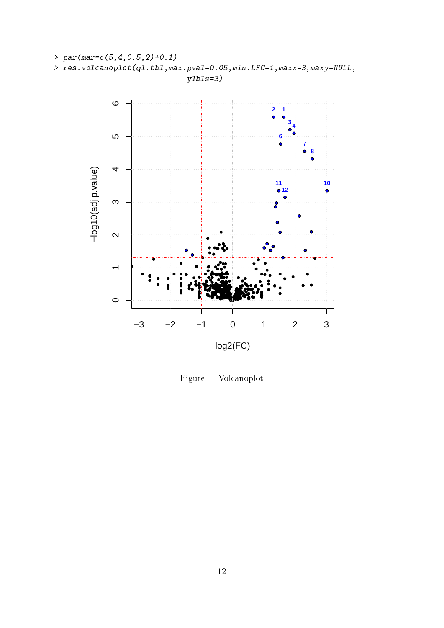



Figure 1: Volcanoplot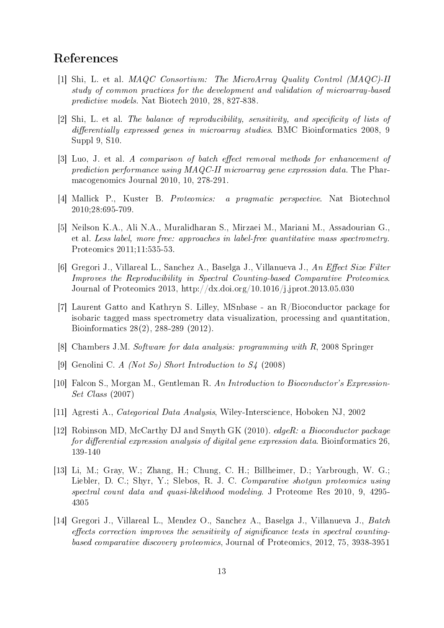# References

- [1] Shi, L. et al. MAQC Consortium: The MicroArray Quality Control (MAQC)-II study of common practices for the development and validation of microarray-based predictive models. Nat Biotech 2010, 28, 827-838.
- $[2]$  Shi, L. et al. The balance of reproducibility, sensitivity, and specificity of lists of  $differentially expressed genes in microarray studies. BMC Bioinformatics 2008, 9$ Suppl 9, S10.
- $[3]$  Luo, J. et al. A comparison of batch effect removal methods for enhancement of prediction performance using MAQC-II microarray gene expression data. The Pharmacogenomics Journal 2010, 10, 278-291.
- [4] Mallick P., Kuster B. Proteomics: a pragmatic perspective. Nat Biotechnol 2010;28:695-709.
- [5] Neilson K.A., Ali N.A., Muralidharan S., Mirzaei M., Mariani M., Assadourian G., et al. Less label, more free: approaches in label-free quantitative mass spectrometry. Proteomics 2011;11:535-53.
- [6] Gregori J., Villareal L., Sanchez A., Baselga J., Villanueva J., An Effect Size Filter Improves the Reproducibility in Spectral Counting-based Comparative Proteomics. Journal of Proteomics 2013, http://dx.doi.org/10.1016/j.jprot.2013.05.030
- [7] Laurent Gatto and Kathryn S. Lilley, MSnbase an R/Bioconductor package for isobaric tagged mass spectrometry data visualization, processing and quantitation, Bioinformatics 28(2), 288-289 (2012).
- [8] Chambers J.M. Software for data analysis: programming with R, 2008 Springer
- [9] Genolini C. A (Not So) Short Introduction to S4 (2008)
- [10] Falcon S., Morgan M., Gentleman R. An Introduction to Bioconductor's Expression-Set Class (2007)
- [11] Agresti A., Categorical Data Analysis, Wiley-Interscience, Hoboken NJ, 2002
- [12] Robinson MD, McCarthy DJ and Smyth GK (2010). edgeR: a Bioconductor package for differential expression analysis of digital gene expression data. Bioinformatics  $26$ , 139-140
- [13] Li, M.; Gray, W.; Zhang, H.; Chung, C. H.; Billheimer, D.; Yarbrough, W. G.; Liebler, D. C.; Shyr, Y.; Slebos, R. J. C. Comparative shotgun proteomics using spectral count data and quasi-likelihood modeling. J Proteome Res 2010, 9, 4295- 4305
- [14] Gregori J., Villareal L., Mendez O., Sanchez A., Baselga J., Villanueva J., Batch effects correction improves the sensitivity of significance tests in spectral countingbased comparative discovery proteomics, Journal of Proteomics, 2012, 75, 3938-3951